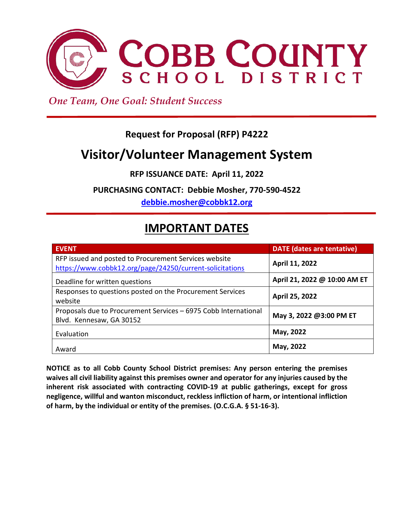

 *One Team, One Goal: Student Success*

## **Request for Proposal (RFP) P4222**

# **Visitor/Volunteer Management System**

**RFP ISSUANCE DATE: April 11, 2022**

**PURCHASING CONTACT: Debbie Mosher, 770-590-4522** 

**[debbie.mosher@cobbk12.org](mailto:debbie.mosher@cobbk12.org)**

# **IMPORTANT DATES**

| <b>EVENT</b>                                                                                                      | <b>DATE</b> (dates are tentative) |
|-------------------------------------------------------------------------------------------------------------------|-----------------------------------|
| RFP issued and posted to Procurement Services website<br>https://www.cobbk12.org/page/24250/current-solicitations | April 11, 2022                    |
| Deadline for written questions                                                                                    | April 21, 2022 @ 10:00 AM ET      |
| Responses to questions posted on the Procurement Services<br>website                                              | April 25, 2022                    |
| Proposals due to Procurement Services - 6975 Cobb International<br>Blvd. Kennesaw, GA 30152                       | May 3, 2022 @3:00 PM ET           |
| Evaluation                                                                                                        | May, 2022                         |
| Award                                                                                                             | May, 2022                         |

**NOTICE as to all Cobb County School District premises: Any person entering the premises waives all civil liability against this premises owner and operator for any injuries caused by the inherent risk associated with contracting COVID-19 at public gatherings, except for gross negligence, willful and wanton misconduct, reckless infliction of harm, or intentional infliction of harm, by the individual or entity of the premises. (O.C.G.A. § 51-16-3).**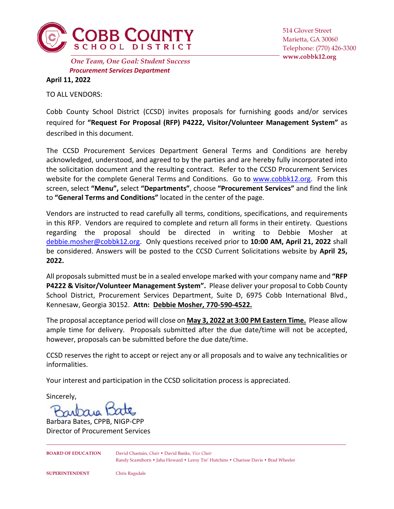

*Procurement Services Department* **www.cobbk12.org** *One Team, One Goal: Student Success*

514 Glover Street Marietta, GA 30060 Telephone: (770) 426-3300

**April 11, 2022**

TO ALL VENDORS:

Cobb County School District (CCSD) invites proposals for furnishing goods and/or services required for **"Request For Proposal (RFP) P4222, Visitor/Volunteer Management System"** as described in this document.

The CCSD Procurement Services Department General Terms and Conditions are hereby acknowledged, understood, and agreed to by the parties and are hereby fully incorporated into the solicitation document and the resulting contract. Refer to the CCSD Procurement Services website for the complete General Terms and Conditions. Go to [www.cobbk12.org.](http://www.cobbk12.org/) From this screen, select **"Menu",** select **"Departments"**, choose **"Procurement Services"** and find the link to **"General Terms and Conditions"** located in the center of the page.

Vendors are instructed to read carefully all terms, conditions, specifications, and requirements in this RFP. Vendors are required to complete and return all forms in their entirety. Questions regarding the proposal should be directed in writing to Debbie Mosher at [debbie.mosher@cobbk12.org.](mailto:debbie.mosher@cobbk12.org) Only questions received prior to **10:00 AM, April 21, 2022** shall be considered. Answers will be posted to the CCSD Current Solicitations website by **April 25, 2022.**

All proposals submitted must be in a sealed envelope marked with your company name and **"RFP P4222 & Visitor/Volunteer Management System".** Please deliver your proposal to Cobb County School District, Procurement Services Department, Suite D, 6975 Cobb International Blvd., Kennesaw, Georgia 30152. **Attn: Debbie Mosher, 770-590-4522.**

The proposal acceptance period will close on **May 3, 2022 at 3:00 PM Eastern Time.** Please allow ample time for delivery. Proposals submitted after the due date/time will not be accepted, however, proposals can be submitted before the due date/time.

CCSD reserves the right to accept or reject any or all proposals and to waive any technicalities or informalities.

Your interest and participation in the CCSD solicitation process is appreciated.

Sincerely,

Barbara Bates, CPPB, NIGP-CPP Director of Procurement Services

**BOARD OF EDUCATION** David Chastain, *Chair* • David Banks, *Vice Chair* Randy Scamihorn • Jaha Howard • Leroy Tre' Hutchins • Charisse Davis • Brad Wheeler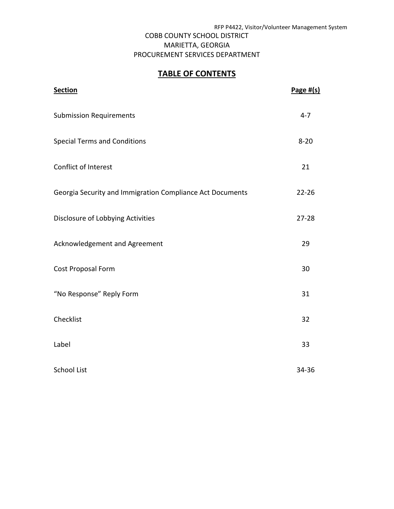## COBB COUNTY SCHOOL DISTRICT MARIETTA, GEORGIA PROCUREMENT SERVICES DEPARTMENT

## **TABLE OF CONTENTS**

| <b>Section</b>                                            | Page $#(s)$ |
|-----------------------------------------------------------|-------------|
| <b>Submission Requirements</b>                            | $4 - 7$     |
| <b>Special Terms and Conditions</b>                       | $8 - 20$    |
| Conflict of Interest                                      | 21          |
| Georgia Security and Immigration Compliance Act Documents | $22 - 26$   |
| Disclosure of Lobbying Activities                         | $27 - 28$   |
| Acknowledgement and Agreement                             | 29          |
| Cost Proposal Form                                        | 30          |
| "No Response" Reply Form                                  | 31          |
| Checklist                                                 | 32          |
| Label                                                     | 33          |
| <b>School List</b>                                        | 34-36       |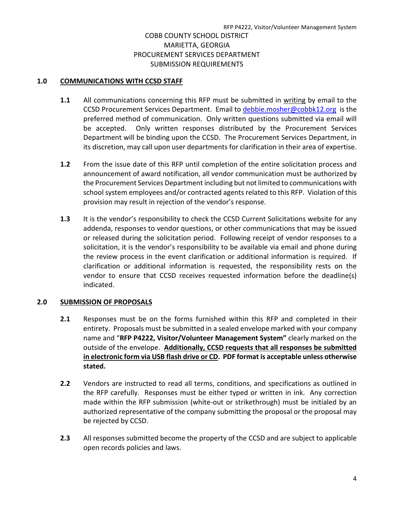## **1.0 COMMUNICATIONS WITH CCSD STAFF**

- **1.1** All communications concerning this RFP must be submitted in writing by email to the CCSD Procurement Services Department. Email to [debbie.mosher@cobbk12.org](mailto:debbie.mosher@cobbk12.org) is the preferred method of communication. Only written questions submitted via email will be accepted. Only written responses distributed by the Procurement Services Department will be binding upon the CCSD. The Procurement Services Department, in its discretion, may call upon user departments for clarification in their area of expertise.
- **1.2** From the issue date of this RFP until completion of the entire solicitation process and announcement of award notification, all vendor communication must be authorized by the Procurement Services Department including but not limited to communications with school system employees and/or contracted agents related to this RFP. Violation of this provision may result in rejection of the vendor's response.
- **1.3** It is the vendor's responsibility to check the CCSD Current Solicitations website for any addenda, responses to vendor questions, or other communications that may be issued or released during the solicitation period. Following receipt of vendor responses to a solicitation, it is the vendor's responsibility to be available via email and phone during the review process in the event clarification or additional information is required. If clarification or additional information is requested, the responsibility rests on the vendor to ensure that CCSD receives requested information before the deadline(s) indicated.

## **2.0 SUBMISSION OF PROPOSALS**

- **2.1** Responses must be on the forms furnished within this RFP and completed in their entirety. Proposals must be submitted in a sealed envelope marked with your company name and "**RFP P4222, Visitor/Volunteer Management System"** clearly marked on the outside of the envelope. **Additionally, CCSD requests that all responses be submitted in electronic form via USB flash drive or CD. PDF format is acceptable unless otherwise stated.**
- **2.2** Vendors are instructed to read all terms, conditions, and specifications as outlined in the RFP carefully. Responses must be either typed or written in ink. Any correction made within the RFP submission (white-out or strikethrough) must be initialed by an authorized representative of the company submitting the proposal or the proposal may be rejected by CCSD.
- **2.3** All responses submitted become the property of the CCSD and are subject to applicable open records policies and laws.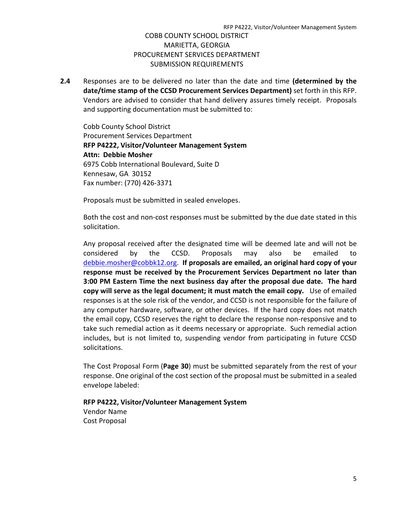**2.4** Responses are to be delivered no later than the date and time **(determined by the date/time stamp of the CCSD Procurement Services Department)** set forth in this RFP. Vendors are advised to consider that hand delivery assures timely receipt. Proposals and supporting documentation must be submitted to:

Cobb County School District Procurement Services Department **RFP P4222, Visitor/Volunteer Management System Attn: Debbie Mosher** 6975 Cobb International Boulevard, Suite D Kennesaw, GA 30152 Fax number: (770) 426-3371

Proposals must be submitted in sealed envelopes.

Both the cost and non-cost responses must be submitted by the due date stated in this solicitation.

Any proposal received after the designated time will be deemed late and will not be considered by the CCSD. Proposals may also be emailed to [debbie.mosher@cobbk12.org.](mailto:debbie.mosher@cobbk12.org) **If proposals are emailed, an original hard copy of your response must be received by the Procurement Services Department no later than 3:00 PM Eastern Time the next business day after the proposal due date. The hard copy will serve as the legal document; it must match the email copy.** Use of emailed responses is at the sole risk of the vendor, and CCSD is not responsible for the failure of any computer hardware, software, or other devices. If the hard copy does not match the email copy, CCSD reserves the right to declare the response non-responsive and to take such remedial action as it deems necessary or appropriate. Such remedial action includes, but is not limited to, suspending vendor from participating in future CCSD solicitations.

The Cost Proposal Form (**Page 30**) must be submitted separately from the rest of your response. One original of the cost section of the proposal must be submitted in a sealed envelope labeled:

# **RFP P4222, Visitor/Volunteer Management System**

Vendor Name Cost Proposal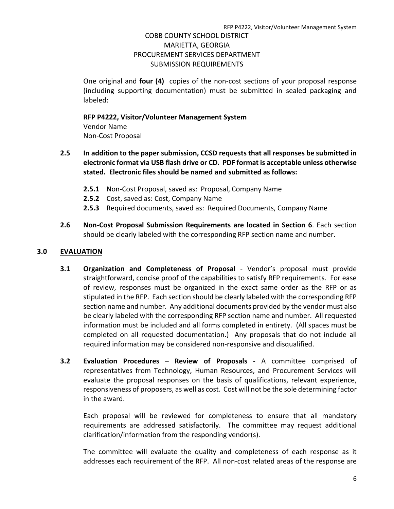One original and **four (4)** copies of the non-cost sections of your proposal response (including supporting documentation) must be submitted in sealed packaging and labeled:

## **RFP P4222, Visitor/Volunteer Management System**

Vendor Name Non-Cost Proposal

- **2.5 In addition to the paper submission, CCSD requests that all responses be submitted in electronic format via USB flash drive or CD. PDF format is acceptable unless otherwise stated. Electronic files should be named and submitted as follows:** 
	- **2.5.1** Non-Cost Proposal, saved as: Proposal, Company Name
	- **2.5.2** Cost, saved as: Cost, Company Name
	- **2.5.3** Required documents, saved as: Required Documents, Company Name
- **2.6 Non-Cost Proposal Submission Requirements are located in Section 6**. Each section should be clearly labeled with the corresponding RFP section name and number.

## **3.0 EVALUATION**

- **3.1 Organization and Completeness of Proposal Vendor's proposal must provide** straightforward, concise proof of the capabilities to satisfy RFP requirements. For ease of review, responses must be organized in the exact same order as the RFP or as stipulated in the RFP. Each section should be clearly labeled with the corresponding RFP section name and number. Any additional documents provided by the vendor must also be clearly labeled with the corresponding RFP section name and number. All requested information must be included and all forms completed in entirety. (All spaces must be completed on all requested documentation.) Any proposals that do not include all required information may be considered non-responsive and disqualified.
- **3.2 Evaluation Procedures Review of Proposals** A committee comprised of representatives from Technology, Human Resources, and Procurement Services will evaluate the proposal responses on the basis of qualifications, relevant experience, responsiveness of proposers, as well as cost. Cost will not be the sole determining factor in the award.

Each proposal will be reviewed for completeness to ensure that all mandatory requirements are addressed satisfactorily. The committee may request additional clarification/information from the responding vendor(s).

The committee will evaluate the quality and completeness of each response as it addresses each requirement of the RFP. All non-cost related areas of the response are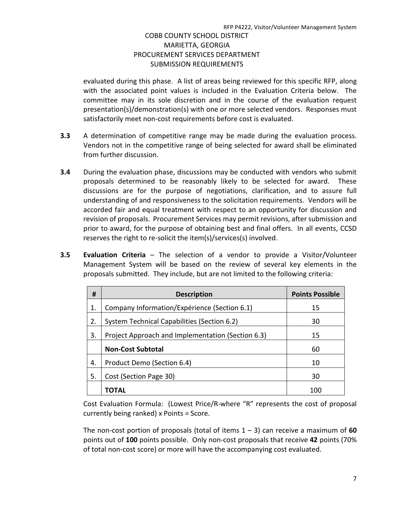evaluated during this phase. A list of areas being reviewed for this specific RFP, along with the associated point values is included in the Evaluation Criteria below. The committee may in its sole discretion and in the course of the evaluation request presentation(s)/demonstration(s) with one or more selected vendors. Responses must satisfactorily meet non-cost requirements before cost is evaluated.

- **3.3** A determination of competitive range may be made during the evaluation process. Vendors not in the competitive range of being selected for award shall be eliminated from further discussion.
- **3.4** During the evaluation phase, discussions may be conducted with vendors who submit proposals determined to be reasonably likely to be selected for award. These discussions are for the purpose of negotiations, clarification, and to assure full understanding of and responsiveness to the solicitation requirements. Vendors will be accorded fair and equal treatment with respect to an opportunity for discussion and revision of proposals. Procurement Services may permit revisions, after submission and prior to award, for the purpose of obtaining best and final offers. In all events, CCSD reserves the right to re-solicit the item(s)/services(s) involved.
- **3.5 Evaluation Criteria** The selection of a vendor to provide a Visitor/Volunteer Management System will be based on the review of several key elements in the proposals submitted. They include, but are not limited to the following criteria:

| #  | <b>Description</b>                                | <b>Points Possible</b> |
|----|---------------------------------------------------|------------------------|
| 1. | Company Information/Expérience (Section 6.1)      | 15                     |
| 2. | System Technical Capabilities (Section 6.2)       | 30                     |
| 3. | Project Approach and Implementation (Section 6.3) | 15                     |
|    | <b>Non-Cost Subtotal</b>                          | 60                     |
| 4. | Product Demo (Section 6.4)                        | 10                     |
| 5. | Cost (Section Page 30)                            | 30                     |
|    | TOTAL                                             | 100                    |

Cost Evaluation Formula: (Lowest Price/R-where "R" represents the cost of proposal currently being ranked) x Points = Score.

The non-cost portion of proposals (total of items 1 – 3) can receive a maximum of **60** points out of **100** points possible. Only non-cost proposals that receive **42** points (70% of total non-cost score) or more will have the accompanying cost evaluated.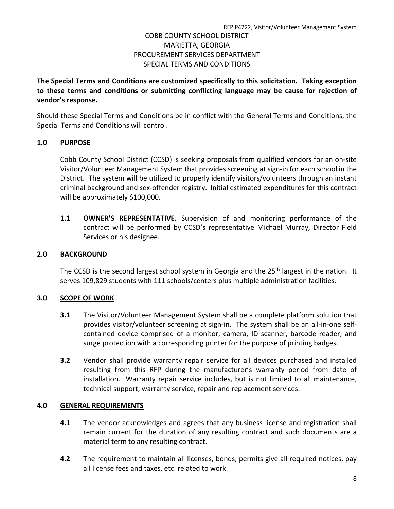**The Special Terms and Conditions are customized specifically to this solicitation. Taking exception to these terms and conditions or submitting conflicting language may be cause for rejection of vendor's response.**

Should these Special Terms and Conditions be in conflict with the General Terms and Conditions, the Special Terms and Conditions will control.

## **1.0 PURPOSE**

Cobb County School District (CCSD) is seeking proposals from qualified vendors for an on-site Visitor/Volunteer Management System that provides screening at sign-in for each school in the District. The system will be utilized to properly identify visitors/volunteers through an instant criminal background and sex-offender registry. Initial estimated expenditures for this contract will be approximately \$100,000.

**1.1 OWNER'S REPRESENTATIVE.** Supervision of and monitoring performance of the contract will be performed by CCSD's representative Michael Murray, Director Field Services or his designee.

## **2.0 BACKGROUND**

The CCSD is the second largest school system in Georgia and the  $25<sup>th</sup>$  largest in the nation. It serves 109,829 students with 111 schools/centers plus multiple administration facilities.

## **3.0 SCOPE OF WORK**

- **3.1** The Visitor/Volunteer Management System shall be a complete platform solution that provides visitor/volunteer screening at sign-in. The system shall be an all-in-one selfcontained device comprised of a monitor, camera, ID scanner, barcode reader, and surge protection with a corresponding printer for the purpose of printing badges.
- **3.2** Vendor shall provide warranty repair service for all devices purchased and installed resulting from this RFP during the manufacturer's warranty period from date of installation. Warranty repair service includes, but is not limited to all maintenance, technical support, warranty service, repair and replacement services.

## **4.0 GENERAL REQUIREMENTS**

- **4.1** The vendor acknowledges and agrees that any business license and registration shall remain current for the duration of any resulting contract and such documents are a material term to any resulting contract.
- **4.2** The requirement to maintain all licenses, bonds, permits give all required notices, pay all license fees and taxes, etc. related to work.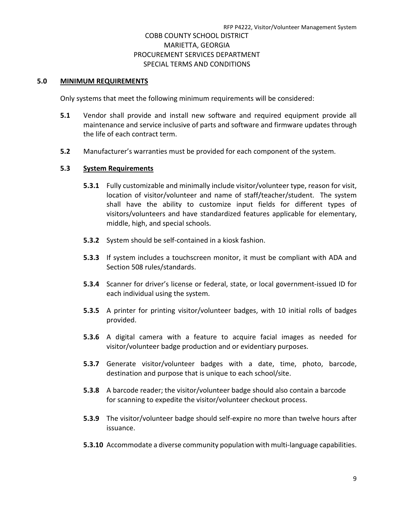### **5.0 MINIMUM REQUIREMENTS**

Only systems that meet the following minimum requirements will be considered:

- **5.1** Vendor shall provide and install new software and required equipment provide all maintenance and service inclusive of parts and software and firmware updates through the life of each contract term.
- **5.2** Manufacturer's warranties must be provided for each component of the system.

### **5.3 System Requirements**

- **5.3.1** Fully customizable and minimally include visitor/volunteer type, reason for visit, location of visitor/volunteer and name of staff/teacher/student. The system shall have the ability to customize input fields for different types of visitors/volunteers and have standardized features applicable for elementary, middle, high, and special schools.
- **5.3.2** System should be self-contained in a kiosk fashion.
- **5.3.3** If system includes a touchscreen monitor, it must be compliant with ADA and Section 508 rules/standards.
- **5.3.4** Scanner for driver's license or federal, state, or local government-issued ID for each individual using the system.
- **5.3.5** A printer for printing visitor/volunteer badges, with 10 initial rolls of badges provided.
- **5.3.6** A digital camera with a feature to acquire facial images as needed for visitor/volunteer badge production and or evidentiary purposes.
- **5.3.7** Generate visitor/volunteer badges with a date, time, photo, barcode, destination and purpose that is unique to each school/site.
- **5.3.8** A barcode reader; the visitor/volunteer badge should also contain a barcode for scanning to expedite the visitor/volunteer checkout process.
- **5.3.9** The visitor/volunteer badge should self-expire no more than twelve hours after issuance.
- **5.3.10** Accommodate a diverse community population with multi-language capabilities.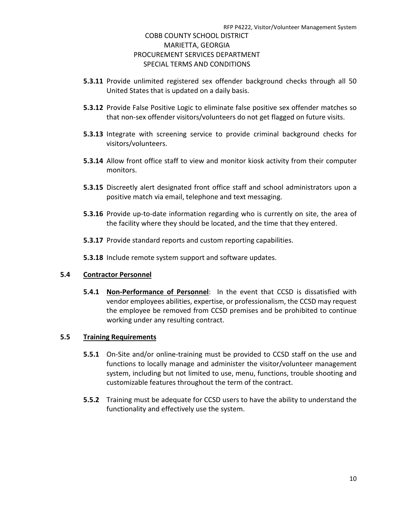- **5.3.11** Provide unlimited registered sex offender background checks through all 50 United States that is updated on a daily basis.
- **5.3.12** Provide False Positive Logic to eliminate false positive sex offender matches so that non-sex offender visitors/volunteers do not get flagged on future visits.
- **5.3.13** Integrate with screening service to provide criminal background checks for visitors/volunteers.
- **5.3.14** Allow front office staff to view and monitor kiosk activity from their computer monitors.
- **5.3.15** Discreetly alert designated front office staff and school administrators upon a positive match via email, telephone and text messaging.
- **5.3.16** Provide up-to-date information regarding who is currently on site, the area of the facility where they should be located, and the time that they entered.
- **5.3.17** Provide standard reports and custom reporting capabilities.
- **5.3.18** Include remote system support and software updates.

## **5.4 Contractor Personnel**

**5.4.1 Non-Performance of Personnel**: In the event that CCSD is dissatisfied with vendor employees abilities, expertise, or professionalism, the CCSD may request the employee be removed from CCSD premises and be prohibited to continue working under any resulting contract.

## **5.5 Training Requirements**

- **5.5.1** On-Site and/or online-training must be provided to CCSD staff on the use and functions to locally manage and administer the visitor/volunteer management system, including but not limited to use, menu, functions, trouble shooting and customizable features throughout the term of the contract.
- **5.5.2** Training must be adequate for CCSD users to have the ability to understand the functionality and effectively use the system.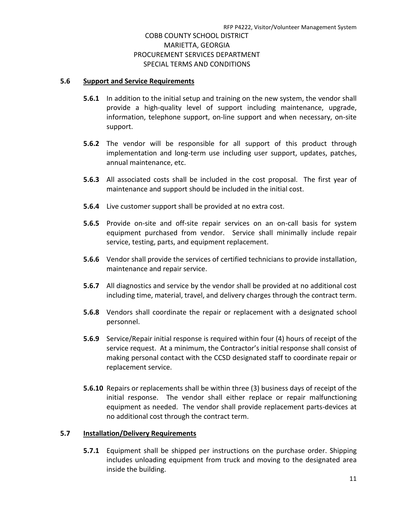### **5.6 Support and Service Requirements**

- **5.6.1** In addition to the initial setup and training on the new system, the vendor shall provide a high-quality level of support including maintenance, upgrade, information, telephone support, on-line support and when necessary, on-site support.
- **5.6.2** The vendor will be responsible for all support of this product through implementation and long-term use including user support, updates, patches, annual maintenance, etc.
- **5.6.3** All associated costs shall be included in the cost proposal. The first year of maintenance and support should be included in the initial cost.
- **5.6.4** Live customer support shall be provided at no extra cost.
- **5.6.5** Provide on-site and off-site repair services on an on-call basis for system equipment purchased from vendor. Service shall minimally include repair service, testing, parts, and equipment replacement.
- **5.6.6** Vendor shall provide the services of certified technicians to provide installation, maintenance and repair service.
- **5.6.7** All diagnostics and service by the vendor shall be provided at no additional cost including time, material, travel, and delivery charges through the contract term.
- **5.6.8** Vendors shall coordinate the repair or replacement with a designated school personnel.
- **5.6.9** Service/Repair initial response is required within four (4) hours of receipt of the service request. At a minimum, the Contractor's initial response shall consist of making personal contact with the CCSD designated staff to coordinate repair or replacement service.
- **5.6.10** Repairs or replacements shall be within three (3) business days of receipt of the initial response. The vendor shall either replace or repair malfunctioning equipment as needed. The vendor shall provide replacement parts-devices at no additional cost through the contract term.

## **5.7 Installation/Delivery Requirements**

**5.7.1** Equipment shall be shipped per instructions on the purchase order. Shipping includes unloading equipment from truck and moving to the designated area inside the building.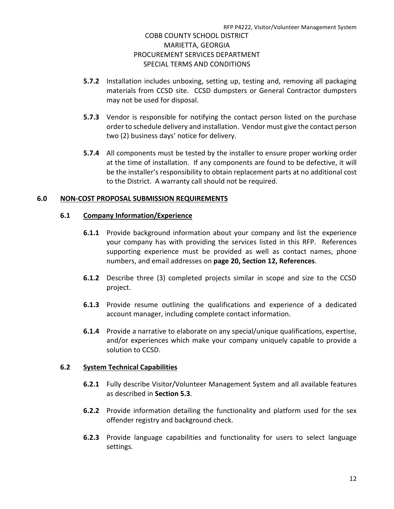- **5.7.2** Installation includes unboxing, setting up, testing and, removing all packaging materials from CCSD site. CCSD dumpsters or General Contractor dumpsters may not be used for disposal.
- **5.7.3** Vendor is responsible for notifying the contact person listed on the purchase order to schedule delivery and installation. Vendor must give the contact person two (2) business days' notice for delivery.
- **5.7.4** All components must be tested by the installer to ensure proper working order at the time of installation. If any components are found to be defective, it will be the installer's responsibility to obtain replacement parts at no additional cost to the District. A warranty call should not be required.

## **6.0 NON-COST PROPOSAL SUBMISSION REQUIREMENTS**

## **6.1 Company Information/Experience**

- **6.1.1** Provide background information about your company and list the experience your company has with providing the services listed in this RFP. References supporting experience must be provided as well as contact names, phone numbers, and email addresses on **page 20, Section 12, References**.
- **6.1.2** Describe three (3) completed projects similar in scope and size to the CCSD project.
- **6.1.3** Provide resume outlining the qualifications and experience of a dedicated account manager, including complete contact information.
- **6.1.4** Provide a narrative to elaborate on any special/unique qualifications, expertise, and/or experiences which make your company uniquely capable to provide a solution to CCSD.

## **6.2 System Technical Capabilities**

- **6.2.1** Fully describe Visitor/Volunteer Management System and all available features as described in **Section 5.3**.
- **6.2.2** Provide information detailing the functionality and platform used for the sex offender registry and background check.
- **6.2.3** Provide language capabilities and functionality for users to select language settings.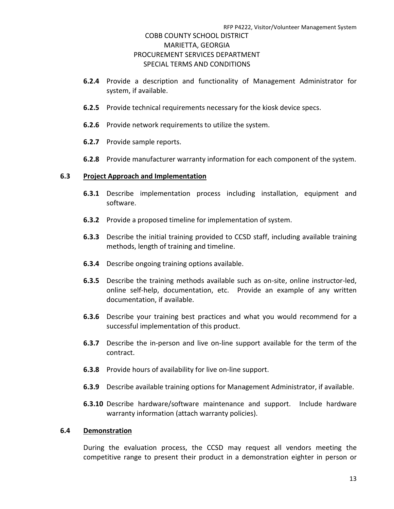- **6.2.4** Provide a description and functionality of Management Administrator for system, if available.
- **6.2.5** Provide technical requirements necessary for the kiosk device specs.
- **6.2.6** Provide network requirements to utilize the system.
- **6.2.7** Provide sample reports.
- **6.2.8** Provide manufacturer warranty information for each component of the system.

### **6.3 Project Approach and Implementation**

- **6.3.1** Describe implementation process including installation, equipment and software.
- **6.3.2** Provide a proposed timeline for implementation of system.
- **6.3.3** Describe the initial training provided to CCSD staff, including available training methods, length of training and timeline.
- **6.3.4** Describe ongoing training options available.
- **6.3.5** Describe the training methods available such as on-site, online instructor-led, online self-help, documentation, etc. Provide an example of any written documentation, if available.
- **6.3.6** Describe your training best practices and what you would recommend for a successful implementation of this product.
- **6.3.7** Describe the in-person and live on-line support available for the term of the contract.
- **6.3.8** Provide hours of availability for live on-line support.
- **6.3.9** Describe available training options for Management Administrator, if available.
- **6.3.10** Describe hardware/software maintenance and support. Include hardware warranty information (attach warranty policies).

### **6.4 Demonstration**

During the evaluation process, the CCSD may request all vendors meeting the competitive range to present their product in a demonstration eighter in person or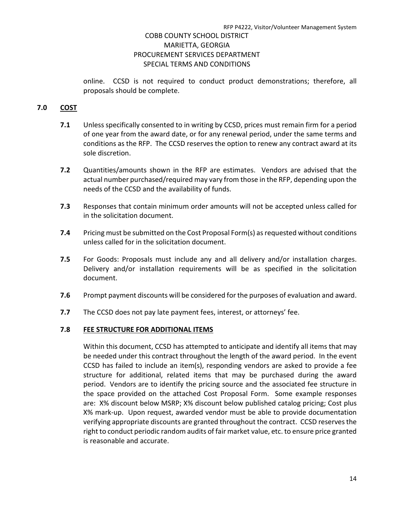online. CCSD is not required to conduct product demonstrations; therefore, all proposals should be complete.

## **7.0 COST**

- **7.1** Unless specifically consented to in writing by CCSD, prices must remain firm for a period of one year from the award date, or for any renewal period, under the same terms and conditions as the RFP. The CCSD reserves the option to renew any contract award at its sole discretion.
- **7.2** Quantities/amounts shown in the RFP are estimates. Vendors are advised that the actual number purchased/required may vary from those in the RFP, depending upon the needs of the CCSD and the availability of funds.
- **7.3** Responses that contain minimum order amounts will not be accepted unless called for in the solicitation document.
- **7.4** Pricing must be submitted on the Cost Proposal Form(s) as requested without conditions unless called for in the solicitation document.
- **7.5** For Goods: Proposals must include any and all delivery and/or installation charges. Delivery and/or installation requirements will be as specified in the solicitation document.
- **7.6** Prompt payment discounts will be considered for the purposes of evaluation and award.
- **7.7** The CCSD does not pay late payment fees, interest, or attorneys' fee.

## **7.8 FEE STRUCTURE FOR ADDITIONAL ITEMS**

Within this document, CCSD has attempted to anticipate and identify all items that may be needed under this contract throughout the length of the award period. In the event CCSD has failed to include an item(s), responding vendors are asked to provide a fee structure for additional, related items that may be purchased during the award period. Vendors are to identify the pricing source and the associated fee structure in the space provided on the attached Cost Proposal Form. Some example responses are: X% discount below MSRP; X% discount below published catalog pricing; Cost plus X% mark-up. Upon request, awarded vendor must be able to provide documentation verifying appropriate discounts are granted throughout the contract. CCSD reserves the right to conduct periodic random audits of fair market value, etc. to ensure price granted is reasonable and accurate.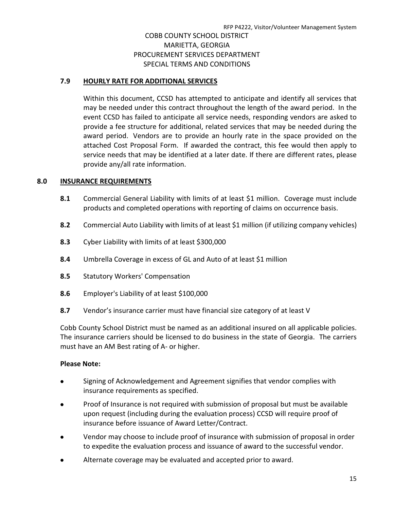## **7.9 HOURLY RATE FOR ADDITIONAL SERVICES**

Within this document, CCSD has attempted to anticipate and identify all services that may be needed under this contract throughout the length of the award period. In the event CCSD has failed to anticipate all service needs, responding vendors are asked to provide a fee structure for additional, related services that may be needed during the award period. Vendors are to provide an hourly rate in the space provided on the attached Cost Proposal Form. If awarded the contract, this fee would then apply to service needs that may be identified at a later date. If there are different rates, please provide any/all rate information.

## **8.0 INSURANCE REQUIREMENTS**

- **8.1** Commercial General Liability with limits of at least \$1 million. Coverage must include products and completed operations with reporting of claims on occurrence basis.
- **8.2** Commercial Auto Liability with limits of at least \$1 million (if utilizing company vehicles)
- **8.3** Cyber Liability with limits of at least \$300,000
- **8.4** Umbrella Coverage in excess of GL and Auto of at least \$1 million
- **8.5** Statutory Workers' Compensation
- **8.6** Employer's Liability of at least \$100,000
- **8.7** Vendor's insurance carrier must have financial size category of at least V

Cobb County School District must be named as an additional insured on all applicable policies. The insurance carriers should be licensed to do business in the state of Georgia. The carriers must have an AM Best rating of A- or higher.

## **Please Note:**

- Signing of Acknowledgement and Agreement signifies that vendor complies with insurance requirements as specified.
- Proof of Insurance is not required with submission of proposal but must be available upon request (including during the evaluation process) CCSD will require proof of insurance before issuance of Award Letter/Contract.
- Vendor may choose to include proof of insurance with submission of proposal in order to expedite the evaluation process and issuance of award to the successful vendor.
- Alternate coverage may be evaluated and accepted prior to award.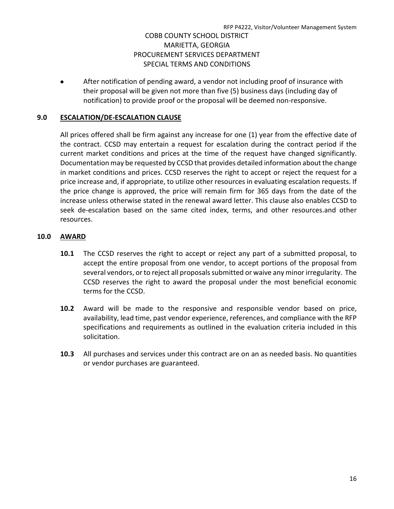• After notification of pending award, a vendor not including proof of insurance with their proposal will be given not more than five (5) business days (including day of notification) to provide proof or the proposal will be deemed non-responsive.

## **9.0 ESCALATION/DE-ESCALATION CLAUSE**

All prices offered shall be firm against any increase for one (1) year from the effective date of the contract. CCSD may entertain a request for escalation during the contract period if the current market conditions and prices at the time of the request have changed significantly. Documentation may be requested by CCSD that provides detailed information about the change in market conditions and prices. CCSD reserves the right to accept or reject the request for a price increase and, if appropriate, to utilize other resources in evaluating escalation requests. If the price change is approved, the price will remain firm for 365 days from the date of the increase unless otherwise stated in the renewal award letter. This clause also enables CCSD to seek de-escalation based on the same cited index, terms, and other resources.and other resources.

## **10.0 AWARD**

- **10.1** The CCSD reserves the right to accept or reject any part of a submitted proposal, to accept the entire proposal from one vendor, to accept portions of the proposal from several vendors, or to reject all proposals submitted or waive any minor irregularity. The CCSD reserves the right to award the proposal under the most beneficial economic terms for the CCSD.
- **10.2** Award will be made to the responsive and responsible vendor based on price, availability, lead time, past vendor experience, references, and compliance with the RFP specifications and requirements as outlined in the evaluation criteria included in this solicitation.
- **10.3** All purchases and services under this contract are on an as needed basis. No quantities or vendor purchases are guaranteed.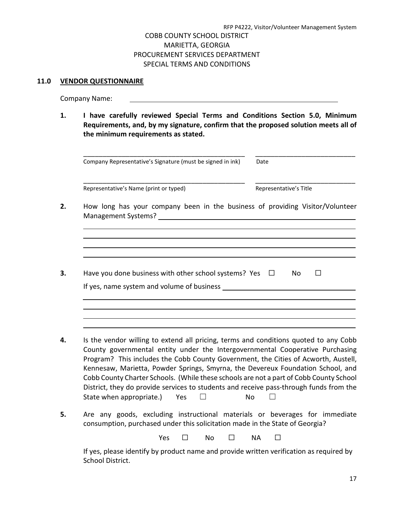### **11.0 VENDOR QUESTIONNAIRE**

Company Name:

**1. I have carefully reviewed Special Terms and Conditions Section 5.0, Minimum Requirements, and, by my signature, confirm that the proposed solution meets all of the minimum requirements as stated.**

| Company Representative's Signature (must be signed in ink)                    | Date                   |
|-------------------------------------------------------------------------------|------------------------|
| Representative's Name (print or typed)                                        | Representative's Title |
| How long has your company been in the business of providing Visitor/Volunteer |                        |
|                                                                               |                        |
|                                                                               |                        |
| Have you done business with other school systems? Yes $\Box$                  | No.                    |
| If yes, name system and volume of business ____                               |                        |
|                                                                               |                        |
|                                                                               |                        |
|                                                                               |                        |

- County governmental entity under the Intergovernmental Cooperative Purchasing Program? This includes the Cobb County Government, the Cities of Acworth, Austell, Kennesaw, Marietta, Powder Springs, Smyrna, the Devereux Foundation School, and Cobb County Charter Schools. (While these schools are not a part of Cobb County School District, they do provide services to students and receive pass-through funds from the State when appropriate.) Yes  $□$  No  $□$
- **5.** Are any goods, excluding instructional materials or beverages for immediate consumption, purchased under this solicitation made in the State of Georgia?

Yes □ No □ NA □

If yes, please identify by product name and provide written verification as required by School District.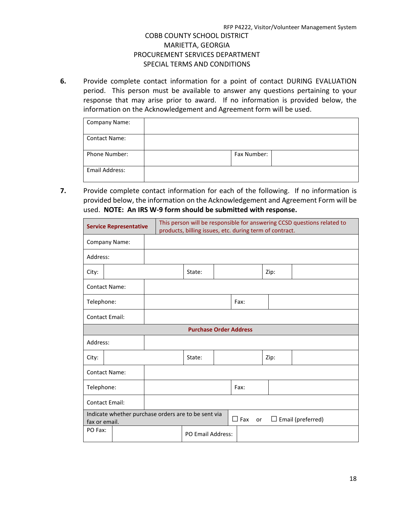**6.** Provide complete contact information for a point of contact DURING EVALUATION period. This person must be available to answer any questions pertaining to your response that may arise prior to award. If no information is provided below, the information on the Acknowledgement and Agreement form will be used.

| <b>Company Name:</b> |             |  |
|----------------------|-------------|--|
| <b>Contact Name:</b> |             |  |
| <b>Phone Number:</b> | Fax Number: |  |
| Email Address:       |             |  |

**7.** Provide complete contact information for each of the following. If no information is provided below, the information on the Acknowledgement and Agreement Form will be used. **NOTE: An IRS W-9 form should be submitted with response.**

|                       | <b>Service Representative</b> |                                                     | This person will be responsible for answering CCSD questions related to<br>products, billing issues, etc. during term of contract. |  |                         |      |                          |  |
|-----------------------|-------------------------------|-----------------------------------------------------|------------------------------------------------------------------------------------------------------------------------------------|--|-------------------------|------|--------------------------|--|
| Company Name:         |                               |                                                     |                                                                                                                                    |  |                         |      |                          |  |
| Address:              |                               |                                                     |                                                                                                                                    |  |                         |      |                          |  |
| City:                 |                               |                                                     | State:                                                                                                                             |  |                         | Zip: |                          |  |
| <b>Contact Name:</b>  |                               |                                                     |                                                                                                                                    |  |                         |      |                          |  |
| Telephone:            |                               |                                                     |                                                                                                                                    |  | Fax:                    |      |                          |  |
| <b>Contact Email:</b> |                               |                                                     |                                                                                                                                    |  |                         |      |                          |  |
|                       | <b>Purchase Order Address</b> |                                                     |                                                                                                                                    |  |                         |      |                          |  |
| Address:              |                               |                                                     |                                                                                                                                    |  |                         |      |                          |  |
| City:                 |                               |                                                     | State:                                                                                                                             |  |                         | Zip: |                          |  |
| <b>Contact Name:</b>  |                               |                                                     |                                                                                                                                    |  |                         |      |                          |  |
| Telephone:            |                               | Fax:                                                |                                                                                                                                    |  |                         |      |                          |  |
| <b>Contact Email:</b> |                               |                                                     |                                                                                                                                    |  |                         |      |                          |  |
| fax or email.         |                               | Indicate whether purchase orders are to be sent via |                                                                                                                                    |  | $\Box$ Fax<br><b>or</b> |      | $\Box$ Email (preferred) |  |
| PO Fax:               |                               |                                                     | PO Email Address:                                                                                                                  |  |                         |      |                          |  |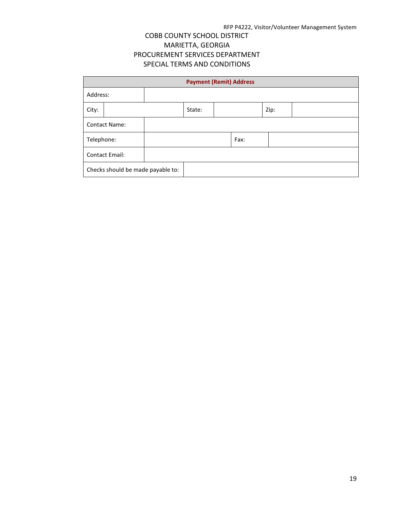|                       | <b>Payment (Remit) Address</b>    |  |        |      |  |      |  |
|-----------------------|-----------------------------------|--|--------|------|--|------|--|
| Address:              |                                   |  |        |      |  |      |  |
| City:                 |                                   |  | State: |      |  | Zip: |  |
|                       | <b>Contact Name:</b>              |  |        |      |  |      |  |
| Telephone:            |                                   |  |        | Fax: |  |      |  |
| <b>Contact Email:</b> |                                   |  |        |      |  |      |  |
|                       | Checks should be made payable to: |  |        |      |  |      |  |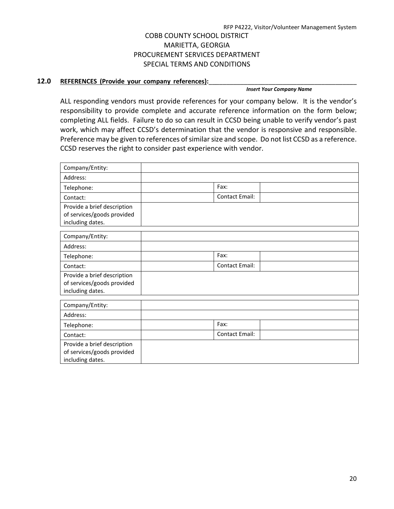### 12.0 REFERENCES (Provide your company references):

*Insert Your Company Name* 

ALL responding vendors must provide references for your company below. It is the vendor's responsibility to provide complete and accurate reference information on the form below; completing ALL fields. Failure to do so can result in CCSD being unable to verify vendor's past work, which may affect CCSD's determination that the vendor is responsive and responsible. Preference may be given to references of similar size and scope. Do not list CCSD as a reference. CCSD reserves the right to consider past experience with vendor.

| Company/Entity:                                                               |                       |  |
|-------------------------------------------------------------------------------|-----------------------|--|
| Address:                                                                      |                       |  |
| Telephone:                                                                    | Fax:                  |  |
| Contact:                                                                      | <b>Contact Email:</b> |  |
| Provide a brief description<br>of services/goods provided<br>including dates. |                       |  |
| Company/Entity:                                                               |                       |  |
| Address:                                                                      |                       |  |
| Telephone:                                                                    | Fax:                  |  |
| Contact:                                                                      | <b>Contact Email:</b> |  |
| Provide a brief description<br>of services/goods provided<br>including dates. |                       |  |
| Company/Entity:                                                               |                       |  |
| Address:                                                                      |                       |  |
| Telephone:                                                                    | Fax:                  |  |
| Contact:                                                                      | <b>Contact Email:</b> |  |
| Provide a brief description<br>of services/goods provided<br>including dates. |                       |  |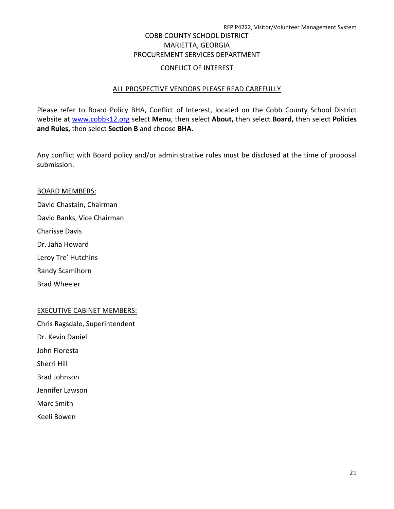## COBB COUNTY SCHOOL DISTRICT MARIETTA, GEORGIA PROCUREMENT SERVICES DEPARTMENT

### CONFLICT OF INTEREST

### ALL PROSPECTIVE VENDORS PLEASE READ CAREFULLY

Please refer to Board Policy BHA, Conflict of Interest, located on the Cobb County School District website at [www.cobbk12.org](http://www.cobbk12.org/) select **Menu**, then select **About,** then select **Board,** then select **Policies and Rules,** then select **Section B** and choose **BHA.**

Any conflict with Board policy and/or administrative rules must be disclosed at the time of proposal submission.

### BOARD MEMBERS:

David Chastain, Chairman David Banks, Vice Chairman Charisse Davis Dr. Jaha Howard Leroy Tre' Hutchins Randy Scamihorn

Brad Wheeler

## EXECUTIVE CABINET MEMBERS:

Chris Ragsdale, Superintendent Dr. Kevin Daniel John Floresta Sherri Hill Brad Johnson Jennifer Lawson Marc Smith Keeli Bowen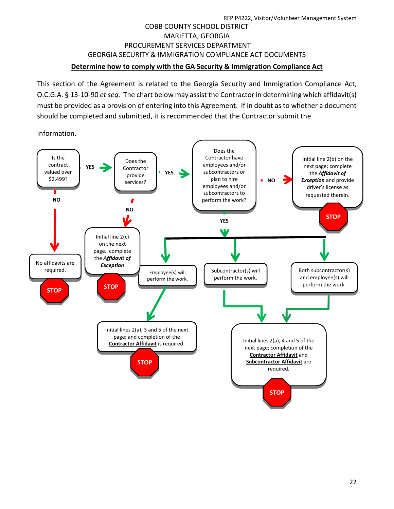## RFP P4222, Visitor/Volunteer Management System COBB COUNTY SCHOOL DISTRICT MARIETTA, GEORGIA PROCUREMENT SERVICES DEPARTMENT GEORGIA SECURITY & IMMIGRATION COMPLIANCE ACT DOCUMENTS **Determine how to comply with the GA Security & Immigration Compliance Act**

This section of the Agreement is related to the Georgia Security and Immigration Compliance Act, O.C.G.A. § 13-10-90 *et seq*. The chart below may assist the Contractor in determining which affidavit(s) must be provided as a provision of entering into this Agreement. If in doubt as to whether a document should be completed and submitted, it is recommended that the Contractor submit the

Information.

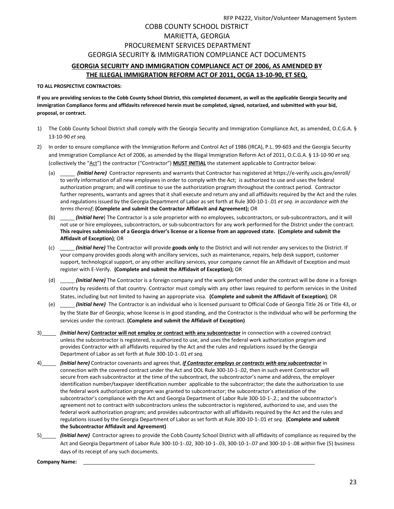## RFP P4222, Visitor/Volunteer Management System COBB COUNTY SCHOOL DISTRICT MARIETTA, GEORGIA PROCUREMENT SERVICES DEPARTMENT GEORGIA SECURITY & IMMIGRATION COMPLIANCE ACT DOCUMENTS **GEORGIA SECURITY AND IMMIGRATION COMPLIANCE ACT OF 2006, AS AMENDED BY**

### **THE ILLEGAL IMMIGRATION REFORM ACT OF 2011, OCGA 13-10-90, ET SEQ.**

### **TO ALL PROSPECTIVE CONTRACTORS:**

**If you are providing services to the Cobb County School District, this completed document, as well as the applicable Georgia Security and Immigration Compliance forms and affidavits referenced herein must be completed, signed, notarized, and submitted with your bid, proposal, or contract.**

- 1) The Cobb County School District shall comply with the Georgia Security and Immigration Compliance Act, as amended, O.C.G.A. § 13-10-90 *et seq.*
- 2) In order to ensure compliance with the Immigration Reform and Control Act of 1986 (IRCA), P.L. 99-603 and the Georgia Security and Immigration Compliance Act of 2006, as amended by the Illegal Immigration Reform Act of 2011, O.C.G.A. § 13-10-90 *et seq.* (collectively the "Act") the contractor ("Contractor") **MUST INITIAL** the statement applicable to Contractor below:
	- (a) *(Initial here)* Contractor represents and warrants that Contractor has registered a[t https://e-verify.uscis.gov/enroll/](https://e-verify.uscis.gov/enroll/) to verify information of all new employees in order to comply with the Act; is authorized to use and uses the federal authorization program; and will continue to use the authorization program throughout the contract period. Contractor further represents, warrants and agrees that it shall execute and return any and all affidavits required by the Act and the rules and regulations issued by the Georgia Department of Labor as set forth at Rule 300-10-1-.01 *et seq. in accordance with the terms thereof*; **(Complete and submit the Contractor Affidavit and Agreement);** OR
	- (b) *(Initial here*) The Contractor is a sole proprietor with no employees, subcontractors, or sub-subcontractors, and it will not use or hire employees, subcontractors, or sub-subcontractors for any work performed for the District under the contract. **This requires submission of a Georgia driver's license or a license from an approved state. (Complete and submit the Affidavit of Exception)**; OR
	- (c) *(Initial here)* The Contractor will provide **goods only** to the District and will not render any services to the District. If your company provides goods along with ancillary services, such as maintenance, repairs, help desk support, customer support, technological support, or any other ancillary services, your company cannot file an Affidavit of Exception and must register with E-Verify. **(Complete and submit the Affidavit of Exception);** OR
	- (d) *(Initial here)* The Contractor is a foreign company and the work performed under the contract will be done in a foreign country by residents of that country. Contractor must comply with any other laws required to perform services in the United States, including but not limited to having an appropriate visa. **(Complete and submit the Affidavit of Exception)**; OR
	- (e) *(Initial here)* The Contractor is an individual who is licensed pursuant to Official Code of Georgia Title 26 or Title 43, or by the State Bar of Georgia; whose license is in good standing, and the Contractor is the individual who will be performing the services under the contract. **(Complete and submit the Affidavit of Exception)**
- 3) *(Initial here)* **Contractor will not employ or contract with any subcontractor** in connection with a covered contract unless the subcontractor is registered, is authorized to use, and uses the federal work authorization program and provides Contractor with all affidavits required by the Act and the rules and regulations issued by the Georgia Department of Labor as set forth at Rule 300-10-1-.01 *et seq.*
- 4) *(Initial here)* Contractor covenants and agrees that, *if Contractor employs or contracts with any subcontractor* in connection with the covered contract under the Act and DOL Rule 300-10-1-.02, then in such event Contractor will secure from each subcontractor at the time of the subcontract, the subcontractor's name and address, the employer identification number/taxpayer identification number applicable to the subcontractor; the date the authorization to use the federal work authorization program was granted to subcontractor; the subcontractor's attestation of the subcontractor's compliance with the Act and Georgia Department of Labor Rule 300-10-1-.2.; and the subcontractor's agreement not to contract with subcontractors unless the subcontractor is registered, authorized to use, and uses the federal work authorization program; and provides subcontractor with all affidavits required by the Act and the rules and regulations issued by the Georgia Department of Labor as set forth at Rule 300-10-1-.01 *et seq.* **(Complete and submit the Subcontractor Affidavit and Agreement)**
- 5) *(Initial here)* Contractor agrees to provide the Cobb County School District with all affidavits of compliance as required by the Act and Georgia Department of Labor Rule 300-10-1-.02, 300-10-1-.03, 300-10-1-.07 and 300-10-1-.08 within five (5) business days of its receipt of any such documents.

**Company Name:**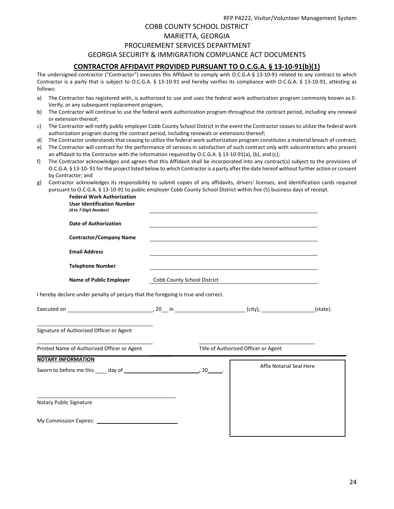RFP P4222, Visitor/Volunteer Management System

### COBB COUNTY SCHOOL DISTRICT

### MARIETTA, GEORGIA

### PROCUREMENT SERVICES DEPARTMENT

### GEORGIA SECURITY & IMMIGRATION COMPLIANCE ACT DOCUMENTS

### **CONTRACTOR AFFIDAVIT PROVIDED PURSUANT TO O.C.G.A. § 13-10-91(b)(1)**

The undersigned contractor ("Contractor") executes this Affidavit to comply with O.C.G.A § 13-10-91 related to any contract to which Contractor is a party that is subject to O.C.G.A. § 13-10-91 and hereby verifies its compliance with O.C.G.A. § 13-10-91, attesting as follows:

- a) The Contractor has registered with, is authorized to use and uses the federal work authorization program commonly known as E-Verify, or any subsequent replacement program;
- b) The Contractor will continue to use the federal work authorization program throughout the contract period, including any renewal or extension thereof;
- c) The Contractor will notify public employer Cobb County School District in the event the Contractor ceases to utilize the federal work authorization program during the contract period, including renewals or extensions thereof;
- d) The Contractor understands that ceasing to utilize the federal work authorization program constitutes a material breach of contract;
- e) The Contractor will contract for the performance of services in satisfaction of such contract only with subcontractors who present an affidavit to the Contractor with the information required by O.C.G.A. § 13-10-91(a), (b), and (c);
- f) The Contractor acknowledges and agrees that this Affidavit shall be incorporated into any contract(s) subject to the provisions of O.C.G.A. § 13-10- 91 for the project listed below to which Contractor is a party after the date hereof without further action or consent by Contractor; and
- g) Contractor acknowledges its responsibility to submit copies of any affidavits, drivers' licenses, and identification cards required pursuant to O.C.G.A. § 13-10-91 to public employer Cobb County School District within five (5) business days of receipt.

**Federal Work Authorization**

| <b>User Identification Number</b><br>(4 to 7 Digit Number)                        |                             |                                                                                                                  |  |
|-----------------------------------------------------------------------------------|-----------------------------|------------------------------------------------------------------------------------------------------------------|--|
| <b>Date of Authorization</b>                                                      |                             |                                                                                                                  |  |
| <b>Contractor/Company Name</b>                                                    |                             |                                                                                                                  |  |
| <b>Email Address</b>                                                              |                             |                                                                                                                  |  |
| <b>Telephone Number</b>                                                           |                             | and the control of the control of the control of the control of the control of the control of the control of the |  |
| <b>Name of Public Employer</b>                                                    | Cobb County School District | <u> 1989 - Andrea Andrew Maria (h. 1989).</u>                                                                    |  |
| I hereby declare under penalty of perjury that the foregoing is true and correct. |                             |                                                                                                                  |  |
|                                                                                   |                             |                                                                                                                  |  |
| Signature of Authorized Officer or Agent                                          |                             |                                                                                                                  |  |
| Printed Name of Authorized Officer or Agent                                       |                             | Title of Authorized Officer or Agent                                                                             |  |
| <b>NOTARY INFORMATION</b>                                                         |                             | <b>Affix Notarial Seal Here</b>                                                                                  |  |
| Notary Public Signature                                                           |                             |                                                                                                                  |  |
|                                                                                   |                             |                                                                                                                  |  |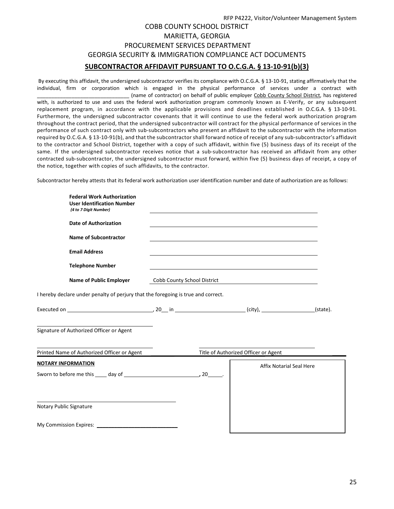## RFP P4222, Visitor/Volunteer Management System COBB COUNTY SCHOOL DISTRICT MARIETTA, GEORGIA PROCUREMENT SERVICES DEPARTMENT GEORGIA SECURITY & IMMIGRATION COMPLIANCE ACT DOCUMENTS **SUBCONTRACTOR AFFIDAVIT PURSUANT TO O.C.G.A. § 13-10-91(b)(3)**

By executing this affidavit, the undersigned subcontractor verifies its compliance with O.C.G.A. § 13-10-91, stating affirmatively that the individual, firm or corporation which is engaged in the physical performance of services under a contract with \_\_\_\_\_\_\_\_\_\_\_\_\_\_\_\_\_\_\_\_\_\_\_\_\_\_\_\_\_\_\_\_ (name of contractor) on behalf of public employer Cobb County School District, has registered with, is authorized to use and uses the federal work authorization program commonly known as E-Verify, or any subsequent replacement program, in accordance with the applicable provisions and deadlines established in O.C.G.A. § 13-10-91. Furthermore, the undersigned subcontractor covenants that it will continue to use the federal work authorization program throughout the contract period, that the undersigned subcontractor will contract for the physical performance of services in the performance of such contract only with sub-subcontractors who present an affidavit to the subcontractor with the information required by O.C.G.A. § 13-10-91(b), and that the subcontractor shall forward notice of receipt of any sub-subcontractor's affidavit to the contractor and School District, together with a copy of such affidavit, within five (5) business days of its receipt of the same. If the undersigned subcontractor receives notice that a sub-subcontractor has received an affidavit from any other contracted sub-subcontractor, the undersigned subcontractor must forward, within five (5) business days of receipt, a copy of the notice, together with copies of such affidavits, to the contractor.

Subcontractor hereby attests that its federal work authorization user identification number and date of authorization are as follows:

| <b>Federal Work Authorization</b><br><b>User Identification Number</b><br>(4 to 7 Digit Number)                                                                                                                                |                             |                                      |          |
|--------------------------------------------------------------------------------------------------------------------------------------------------------------------------------------------------------------------------------|-----------------------------|--------------------------------------|----------|
| <b>Date of Authorization</b>                                                                                                                                                                                                   |                             |                                      |          |
| <b>Name of Subcontractor</b>                                                                                                                                                                                                   |                             |                                      |          |
| <b>Email Address</b>                                                                                                                                                                                                           |                             |                                      |          |
| <b>Telephone Number</b>                                                                                                                                                                                                        |                             |                                      |          |
| <b>Name of Public Employer</b>                                                                                                                                                                                                 | Cobb County School District |                                      |          |
| I hereby declare under penalty of perjury that the foregoing is true and correct.                                                                                                                                              |                             |                                      |          |
|                                                                                                                                                                                                                                |                             |                                      | (state). |
| Signature of Authorized Officer or Agent                                                                                                                                                                                       |                             |                                      |          |
| Printed Name of Authorized Officer or Agent                                                                                                                                                                                    |                             | Title of Authorized Officer or Agent |          |
| <b>NOTARY INFORMATION</b>                                                                                                                                                                                                      |                             | <b>Affix Notarial Seal Here</b>      |          |
|                                                                                                                                                                                                                                |                             |                                      |          |
|                                                                                                                                                                                                                                |                             |                                      |          |
| Notary Public Signature                                                                                                                                                                                                        |                             |                                      |          |
| My Commission Expires: Note that the commission of the control of the control of the control of the control of the control of the control of the control of the control of the control of the control of the control of the co |                             |                                      |          |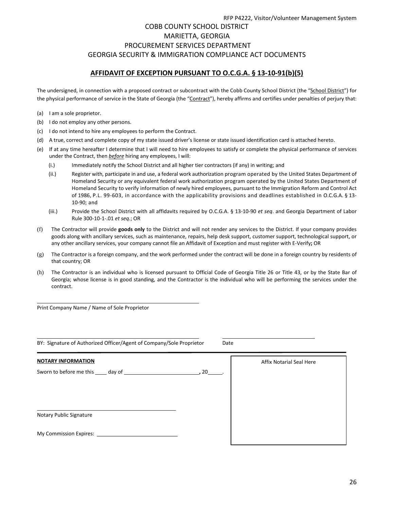## RFP P4222, Visitor/Volunteer Management System COBB COUNTY SCHOOL DISTRICT MARIETTA, GEORGIA PROCUREMENT SERVICES DEPARTMENT GEORGIA SECURITY & IMMIGRATION COMPLIANCE ACT DOCUMENTS

## **AFFIDAVIT OF EXCEPTION PURSUANT TO O.C.G.A. § 13-10-91(b)(5)**

The undersigned, in connection with a proposed contract or subcontract with the Cobb County School District (the "School District") for the physical performance of service in the State of Georgia (the "Contract"), hereby affirms and certifies under penalties of perjury that:

- (a) I am a sole proprietor.
- (b) I do not employ any other persons.
- (c) I do not intend to hire any employees to perform the Contract.
- (d) A true, correct and complete copy of my state issued driver's license or state issued identification card is attached hereto.
- (e) If at any time hereafter I determine that I will need to hire employees to satisfy or complete the physical performance of services under the Contract, then *before* hiring any employees, I will:
	- (i.) Immediately notify the School District and all higher tier contractors (if any) in writing; and
	- (ii.) Register with, participate in and use, a federal work authorization program operated by the United States Department of Homeland Security or any equivalent federal work authorization program operated by the United States Department of Homeland Security to verify information of newly hired employees, pursuant to the Immigration Reform and Control Act of 1986, P.L. 99-603, in accordance with the applicability provisions and deadlines established in O.C.G.A. § 13- 10-90; and
	- (iii.) Provide the School District with all affidavits required by O.C.G.A. § 13-10-90 *et seq*. and Georgia Department of Labor Rule 300-10-1-.01 *et seq*.; OR
- (f) The Contractor will provide **goods only** to the District and will not render any services to the District. If your company provides goods along with ancillary services, such as maintenance, repairs, help desk support, customer support, technological support, or any other ancillary services, your company cannot file an Affidavit of Exception and must register with E-Verify**;** OR
- (g) The Contractor is a foreign company, and the work performed under the contract will be done in a foreign country by residents of that country; OR
- (h) The Contractor is an individual who is licensed pursuant to Official Code of Georgia Title 26 or Title 43, or by the State Bar of Georgia; whose license is in good standing, and the Contractor is the individual who will be performing the services under the contract.

Print Company Name / Name of Sole Proprietor

| BY: Signature of Authorized Officer/Agent of Company/Sole Proprietor<br>Date |                                 |  |  |  |  |  |  |
|------------------------------------------------------------------------------|---------------------------------|--|--|--|--|--|--|
| <b>NOTARY INFORMATION</b>                                                    | <b>Affix Notarial Seal Here</b> |  |  |  |  |  |  |
|                                                                              |                                 |  |  |  |  |  |  |
|                                                                              |                                 |  |  |  |  |  |  |
| Notary Public Signature                                                      |                                 |  |  |  |  |  |  |
| My Commission Expires: __________                                            |                                 |  |  |  |  |  |  |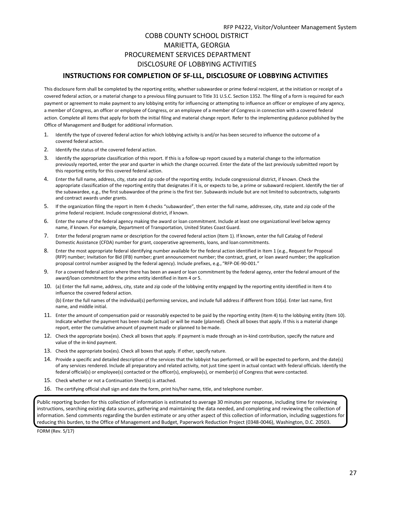## COBB COUNTY SCHOOL DISTRICT MARIETTA, GEORGIA PROCUREMENT SERVICES DEPARTMENT DISCLOSURE OF LOBBYING ACTIVITIES

### **INSTRUCTIONS FOR COMPLETION OF SF-LLL, DISCLOSURE OF LOBBYING ACTIVITIES**

This disclosure form shall be completed by the reporting entity, whether subawardee or prime federal recipient, at the initiation or receipt of a covered federal action, or a material change to a previous filing pursuant to Title 31 U.S.C. Section 1352. The filing of a form is required for each payment or agreement to make payment to any lobbying entity for influencing or attempting to influence an officer or employee of any agency, a member of Congress, an officer or employee of Congress, or an employee of a member of Congress in connection with a covered federal action. Complete all items that apply for both the initial filing and material change report. Refer to the implementing guidance published by the Office of Management and Budget for additional information.

- 1. Identify the type of covered federal action for which lobbying activity is and/or has been secured to influence the outcome of a covered federal action.
- 2. Identify the status of the covered federal action.
- 3. Identify the appropriate classification of this report. If this is a follow-up report caused by a material change to the information previously reported, enter the year and quarter in which the change occurred. Enter the date of the last previously submitted report by this reporting entity for this covered federal action.
- 4. Enter the full name, address, city, state and zip code of the reporting entity. Include congressional district, if known. Check the appropriate classification of the reporting entity that designates if it is, or expects to be, a prime or subaward recipient. Identify the tier of the subawardee, e.g., the first subawardee of the prime is the first tier. Subawards include but are not limited to subcontracts, subgrants and contract awards under grants.
- 5. If the organization filing the report in Item 4 checks "subawardee", then enter the full name, addressee, city, state and zip code of the prime federal recipient. Include congressional district, if known.
- 6. Enter the name of the federal agency making the award or loan commitment. Include at least one organizational level below agency name, if known. For example, Department of Transportation, United States CoastGuard.
- 7. Enter the federal program name or description for the covered federal action (Item 1). If known, enter the full Catalog of Federal Domestic Assistance (CFDA) number for grant, cooperative agreements, loans, and loan commitments.
- 8. Enter the most appropriate federal identifying number available for the federal action identified in Item 1 (e.g., Request for Proposal (RFP) number; Invitation for Bid (IFB) number; grant announcement number; the contract, grant, or loan award number; the application proposal control number assigned by the federal agency). Include prefixes, e.g., "RFP-DE-90-001."
- 9. For a covered federal action where there has been an award or loan commitment by the federal agency, enter the federal amount of the award/loan commitment for the prime entity identified in Item 4 or 5.
- 10. (a) Enter the full name, address, city, state and zip code of the lobbying entity engaged by the reporting entity identified in Item 4 to influence the covered federal action.

(b) Enter the full names of the individual(s) performing services, and include full address if different from 10(a). Enter last name, first name, and middle initial.

- 11. Enter the amount of compensation paid or reasonably expected to be paid by the reporting entity (Item 4) to the lobbying entity (Item 10). Indicate whether the payment has been made (actual) or will be made (planned). Check all boxes that apply. If this is a material change report, enter the cumulative amount of payment made or planned to bemade.
- 12. Check the appropriate box(es). Check all boxes that apply. If payment is made through an in-kind contribution, specify the nature and value of the in-kind payment.
- 13. Check the appropriate box(es). Check all boxes that apply. If other, specify nature.
- 14. Provide a specific and detailed description of the services that the lobbyist has performed, or will be expected to perform, and the date(s) of any services rendered. Include all preparatory and related activity, not just time spent in actual contact with federal officials. Identify the federal official(s) or employee(s) contacted or the officer(s), employee(s), or member(s) of Congress that were contacted.
- 15. Check whether or not a Continuation Sheet(s) is attached.
- 16. The certifying official shall sign and date the form, print his/her name, title, and telephone number.

Public reporting burden for this collection of information is estimated to average 30 minutes per response, including time for reviewing instructions, searching existing data sources, gathering and maintaining the data needed, and completing and reviewing the collection of information. Send comments regarding the burden estimate or any other aspect of this collection of information, including suggestions for reducing this burden, to the Office of Management and Budget, Paperwork Reduction Project (0348-0046), Washington, D.C. 20503.

FORM (Rev. 5/17)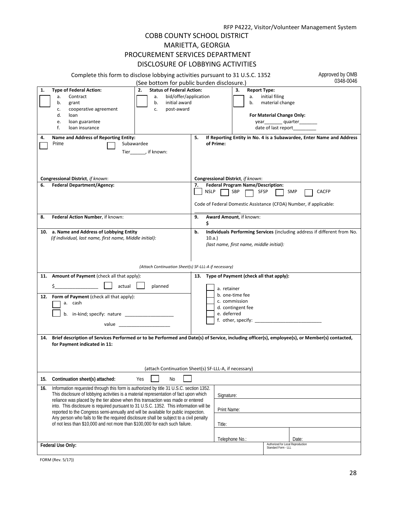### COBB COUNTY SCHOOL DISTRICT MARIETTA, GEORGIA PROCUREMENT SERVICES DEPARTMENT DISCLOSURE OF LOBBYING ACTIVITIES

|                                                                                                                                                                                                                                                                                                                                                                                                                                                             | DISCLUSURE OF LUBBTING ACTIVITIES                                                                                                                                                                                                                                                                                      |                   |                |                                                                      |                                                                                              |                                                                                 |                                                                          |
|-------------------------------------------------------------------------------------------------------------------------------------------------------------------------------------------------------------------------------------------------------------------------------------------------------------------------------------------------------------------------------------------------------------------------------------------------------------|------------------------------------------------------------------------------------------------------------------------------------------------------------------------------------------------------------------------------------------------------------------------------------------------------------------------|-------------------|----------------|----------------------------------------------------------------------|----------------------------------------------------------------------------------------------|---------------------------------------------------------------------------------|--------------------------------------------------------------------------|
|                                                                                                                                                                                                                                                                                                                                                                                                                                                             | Complete this form to disclose lobbying activities pursuant to 31 U.S.C. 1352<br>(See bottom for public burden disclosure.)                                                                                                                                                                                            |                   |                |                                                                      |                                                                                              |                                                                                 | Approved by OMB<br>0348-0046                                             |
| 1.                                                                                                                                                                                                                                                                                                                                                                                                                                                          | <b>Type of Federal Action:</b><br><b>Status of Federal Action:</b><br>2.<br>bid/offer/application<br>Contract<br>a.<br>а.<br>initial award<br>b.<br>b.<br>grant<br>cooperative agreement<br>post-award<br>c.<br>c.<br>d.<br>loan<br>loan guarantee<br>e.<br>f.<br>loan insurance                                       |                   |                | <b>Report Type:</b><br>З.<br>a.<br>b.                                | initial filing<br>material change<br>For Material Change Only:<br>date of last report_______ | year__________quarter_________                                                  |                                                                          |
| 4.                                                                                                                                                                                                                                                                                                                                                                                                                                                          | Name and Address of Reporting Entity:<br>Prime<br>Subawardee<br>Tier, if known:                                                                                                                                                                                                                                        | 5.<br>of Prime:   |                |                                                                      |                                                                                              |                                                                                 | If Reporting Entity in No. 4 is a Subawardee, Enter Name and Address     |
|                                                                                                                                                                                                                                                                                                                                                                                                                                                             | Congressional District, if known:                                                                                                                                                                                                                                                                                      |                   |                | Congressional District, if known:                                    |                                                                                              |                                                                                 |                                                                          |
| 6.                                                                                                                                                                                                                                                                                                                                                                                                                                                          | <b>Federal Department/Agency:</b>                                                                                                                                                                                                                                                                                      | 7.<br><b>NSLP</b> | SBP            | <b>Federal Program Name/Description:</b>                             | <b>SFSP</b>                                                                                  | <b>SMP</b><br>Code of Federal Domestic Assistance (CFDA) Number, if applicable: | <b>CACFP</b>                                                             |
| 8.                                                                                                                                                                                                                                                                                                                                                                                                                                                          | Federal Action Number, if known:                                                                                                                                                                                                                                                                                       | 9.<br>s           |                | Award Amount, if known:                                              |                                                                                              |                                                                                 |                                                                          |
|                                                                                                                                                                                                                                                                                                                                                                                                                                                             | 10. a. Name and Address of Lobbying Entity<br>(if individual, last name, first name, Middle initial):                                                                                                                                                                                                                  | b.<br>10.a.       |                | (last name, first name, middle initial):                             |                                                                                              |                                                                                 | Individuals Performing Services (including address if different from No. |
|                                                                                                                                                                                                                                                                                                                                                                                                                                                             | (Attach Continuation Sheet(s) SF-LLL-A if necessary)                                                                                                                                                                                                                                                                   |                   |                |                                                                      |                                                                                              |                                                                                 |                                                                          |
|                                                                                                                                                                                                                                                                                                                                                                                                                                                             | 11. Amount of Payment (check all that apply):<br>actual<br>planned                                                                                                                                                                                                                                                     |                   | a. retainer    |                                                                      | 13. Type of Payment (check all that apply):                                                  |                                                                                 |                                                                          |
|                                                                                                                                                                                                                                                                                                                                                                                                                                                             | 12. Form of Payment (check all that apply):<br>a. cash<br>b. in-kind; specify: nature<br>value and the contract of the contract of the contract of the contract of the contract of the contract of the contract of the contract of the contract of the contract of the contract of the contract of the contract of the |                   |                | b. one-time fee<br>c. commission<br>d. contingent fee<br>e. deferred |                                                                                              |                                                                                 |                                                                          |
|                                                                                                                                                                                                                                                                                                                                                                                                                                                             |                                                                                                                                                                                                                                                                                                                        |                   |                |                                                                      |                                                                                              |                                                                                 |                                                                          |
|                                                                                                                                                                                                                                                                                                                                                                                                                                                             | 14. Brief description of Services Performed or to be Performed and Date(s) of Service, including officer(s), employee(s), or Member(s) contacted,<br>for Payment indicated in 11:                                                                                                                                      |                   |                |                                                                      |                                                                                              |                                                                                 |                                                                          |
|                                                                                                                                                                                                                                                                                                                                                                                                                                                             | (attach Continuation Sheet(s) SF-LLL-A, if necessary)                                                                                                                                                                                                                                                                  |                   |                |                                                                      |                                                                                              |                                                                                 |                                                                          |
| 15.                                                                                                                                                                                                                                                                                                                                                                                                                                                         | Continuation sheet(s) attached:<br>Yes<br>No                                                                                                                                                                                                                                                                           |                   |                |                                                                      |                                                                                              |                                                                                 |                                                                          |
| Information requested through this form is authorized by title 31 U.S.C. section 1352.<br>16.<br>This disclosure of lobbying activities is a material representation of fact upon which<br>reliance was placed by the tier above when this transaction was made or entered<br>into. This disclosure is required pursuant to 31 U.S.C. 1352. This information will be<br>reported to the Congress semi-annually and will be available for public inspection. |                                                                                                                                                                                                                                                                                                                        | Signature:        |                |                                                                      |                                                                                              |                                                                                 |                                                                          |
|                                                                                                                                                                                                                                                                                                                                                                                                                                                             |                                                                                                                                                                                                                                                                                                                        | Print Name:       |                |                                                                      |                                                                                              |                                                                                 |                                                                          |
|                                                                                                                                                                                                                                                                                                                                                                                                                                                             | Any person who fails to file the required disclosure shall be subject to a civil penalty<br>of not less than \$10,000 and not more than \$100,000 for each such failure.                                                                                                                                               |                   | Title:         |                                                                      |                                                                                              |                                                                                 |                                                                          |
|                                                                                                                                                                                                                                                                                                                                                                                                                                                             |                                                                                                                                                                                                                                                                                                                        |                   | Telephone No.: |                                                                      |                                                                                              | Date:                                                                           |                                                                          |
|                                                                                                                                                                                                                                                                                                                                                                                                                                                             | Federal Use Only:                                                                                                                                                                                                                                                                                                      |                   |                |                                                                      | Authorized for Local Reproduction<br>Standard Form - LLL                                     |                                                                                 |                                                                          |

FORM (Rev. 5/17))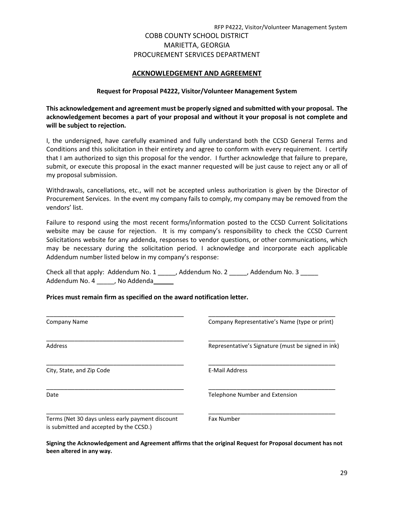## COBB COUNTY SCHOOL DISTRICT MARIETTA, GEORGIA PROCUREMENT SERVICES DEPARTMENT

### **ACKNOWLEDGEMENT AND AGREEMENT**

### **Request for Proposal P4222, Visitor/Volunteer Management System**

**This acknowledgement and agreement must be properly signed and submitted with your proposal. The acknowledgement becomes a part of your proposal and without it your proposal is not complete and will be subject to rejection.**

I, the undersigned, have carefully examined and fully understand both the CCSD General Terms and Conditions and this solicitation in their entirety and agree to conform with every requirement. I certify that I am authorized to sign this proposal for the vendor. I further acknowledge that failure to prepare, submit, or execute this proposal in the exact manner requested will be just cause to reject any or all of my proposal submission.

Withdrawals, cancellations, etc., will not be accepted unless authorization is given by the Director of Procurement Services. In the event my company fails to comply, my company may be removed from the vendors' list.

Failure to respond using the most recent forms/information posted to the CCSD Current Solicitations website may be cause for rejection. It is my company's responsibility to check the CCSD Current Solicitations website for any addenda, responses to vendor questions, or other communications, which may be necessary during the solicitation period. I acknowledge and incorporate each applicable Addendum number listed below in my company's response:

Check all that apply: Addendum No. 1 \_\_\_\_\_, Addendum No. 2 \_\_\_\_\_, Addendum No. 3 \_\_\_\_\_ Addendum No. 4 \_\_\_\_\_, No Addenda\_\_\_\_

### **Prices must remain firm as specified on the award notification letter.**

| Company Name                                                                                | Company Representative's Name (type or print)      |  |
|---------------------------------------------------------------------------------------------|----------------------------------------------------|--|
| <b>Address</b>                                                                              | Representative's Signature (must be signed in ink) |  |
| City, State, and Zip Code                                                                   | <b>E-Mail Address</b>                              |  |
| Date                                                                                        | Telephone Number and Extension                     |  |
| Terms (Net 30 days unless early payment discount<br>is submitted and accepted by the CCSD.) | <b>Fax Number</b>                                  |  |

**Signing the Acknowledgement and Agreement affirms that the original Request for Proposal document has not been altered in any way.**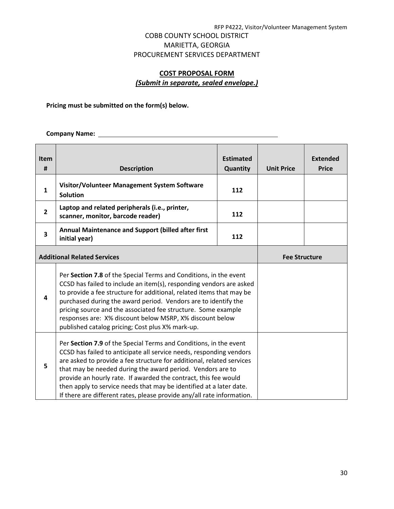## COBB COUNTY SCHOOL DISTRICT MARIETTA, GEORGIA PROCUREMENT SERVICES DEPARTMENT

## **COST PROPOSAL FORM** *(Submit in separate, sealed envelope.)*

**Pricing must be submitted on the form(s) below.** 

**Company Name:** 

| <b>Item</b><br>#                                                                                                                                                                                                                                                                                                                                                                                                                                                                                         | <b>Description</b>                                                                                                                                                                                                                                                                                                                                                                                                                                                  | <b>Estimated</b><br>Quantity | <b>Unit Price</b> | <b>Extended</b><br><b>Price</b> |
|----------------------------------------------------------------------------------------------------------------------------------------------------------------------------------------------------------------------------------------------------------------------------------------------------------------------------------------------------------------------------------------------------------------------------------------------------------------------------------------------------------|---------------------------------------------------------------------------------------------------------------------------------------------------------------------------------------------------------------------------------------------------------------------------------------------------------------------------------------------------------------------------------------------------------------------------------------------------------------------|------------------------------|-------------------|---------------------------------|
| $\mathbf{1}$                                                                                                                                                                                                                                                                                                                                                                                                                                                                                             | Visitor/Volunteer Management System Software<br><b>Solution</b>                                                                                                                                                                                                                                                                                                                                                                                                     | 112                          |                   |                                 |
| $\overline{2}$                                                                                                                                                                                                                                                                                                                                                                                                                                                                                           | Laptop and related peripherals (i.e., printer,<br>scanner, monitor, barcode reader)                                                                                                                                                                                                                                                                                                                                                                                 | 112                          |                   |                                 |
| 3                                                                                                                                                                                                                                                                                                                                                                                                                                                                                                        | Annual Maintenance and Support (billed after first<br>initial year)                                                                                                                                                                                                                                                                                                                                                                                                 | 112                          |                   |                                 |
|                                                                                                                                                                                                                                                                                                                                                                                                                                                                                                          | <b>Additional Related Services</b>                                                                                                                                                                                                                                                                                                                                                                                                                                  |                              |                   | <b>Fee Structure</b>            |
| 4                                                                                                                                                                                                                                                                                                                                                                                                                                                                                                        | Per Section 7.8 of the Special Terms and Conditions, in the event<br>CCSD has failed to include an item(s), responding vendors are asked<br>to provide a fee structure for additional, related items that may be<br>purchased during the award period. Vendors are to identify the<br>pricing source and the associated fee structure. Some example<br>responses are: X% discount below MSRP, X% discount below<br>published catalog pricing; Cost plus X% mark-up. |                              |                   |                                 |
| Per Section 7.9 of the Special Terms and Conditions, in the event<br>CCSD has failed to anticipate all service needs, responding vendors<br>are asked to provide a fee structure for additional, related services<br>5<br>that may be needed during the award period. Vendors are to<br>provide an hourly rate. If awarded the contract, this fee would<br>then apply to service needs that may be identified at a later date.<br>If there are different rates, please provide any/all rate information. |                                                                                                                                                                                                                                                                                                                                                                                                                                                                     |                              |                   |                                 |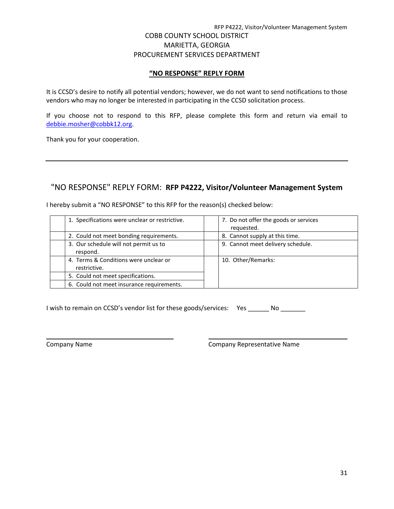### **"NO RESPONSE" REPLY FORM**

It is CCSD's desire to notify all potential vendors; however, we do not want to send notifications to those vendors who may no longer be interested in participating in the CCSD solicitation process.

If you choose not to respond to this RFP, please complete this form and return via email to [debbie.mosher@cobbk12.org.](mailto:debbie.mosher@cobbk12.org)

Thank you for your cooperation.

## "NO RESPONSE" REPLY FORM: **RFP P4222, Visitor/Volunteer Management System**

| 1. Specifications were unclear or restrictive.        | 7. Do not offer the goods or services<br>requested. |
|-------------------------------------------------------|-----------------------------------------------------|
| 2. Could not meet bonding requirements.               | 8. Cannot supply at this time.                      |
| 3. Our schedule will not permit us to<br>respond.     | 9. Cannot meet delivery schedule.                   |
| 4. Terms & Conditions were unclear or<br>restrictive. | 10. Other/Remarks:                                  |
| 5. Could not meet specifications.                     |                                                     |
| 6. Could not meet insurance requirements.             |                                                     |

I hereby submit a "NO RESPONSE" to this RFP for the reason(s) checked below:

I wish to remain on CCSD's vendor list for these goods/services: Yes \_\_\_\_\_\_ No \_\_\_\_\_\_

Company Name Company Representative Name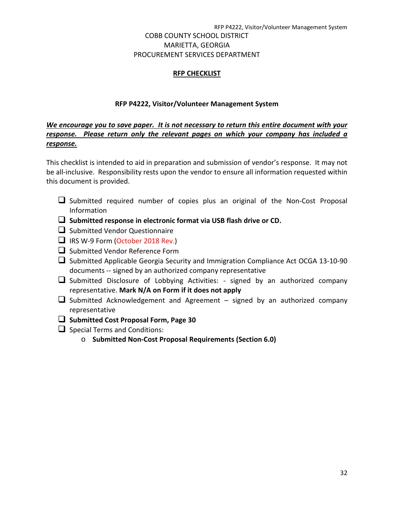## COBB COUNTY SCHOOL DISTRICT MARIETTA, GEORGIA PROCUREMENT SERVICES DEPARTMENT

## **RFP CHECKLIST**

## **RFP P4222, Visitor/Volunteer Management System**

## *We encourage you to save paper. It is not necessary to return this entire document with your response. Please return only the relevant pages on which your company has included a response.*

This checklist is intended to aid in preparation and submission of vendor's response. It may not be all-inclusive. Responsibility rests upon the vendor to ensure all information requested within this document is provided.

- $\Box$  Submitted required number of copies plus an original of the Non-Cost Proposal Information
- **Submitted response in electronic format via USB flash drive or CD.**
- $\Box$  Submitted Vendor Questionnaire
- IRS W-9 Form (October 2018 Rev.)
- $\Box$  Submitted Vendor Reference Form
- $\square$  Submitted Applicable Georgia Security and Immigration Compliance Act OCGA 13-10-90 documents -- signed by an authorized company representative
- $\Box$  Submitted Disclosure of Lobbying Activities: signed by an authorized company representative. **Mark N/A on Form if it does not apply**
- $\Box$  Submitted Acknowledgement and Agreement signed by an authorized company representative
- **Submitted Cost Proposal Form, Page 30**
- $\Box$  Special Terms and Conditions:
	- o **Submitted Non-Cost Proposal Requirements (Section 6.0)**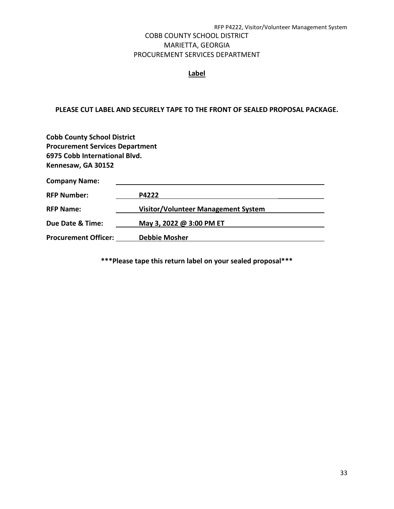## COBB COUNTY SCHOOL DISTRICT MARIETTA, GEORGIA PROCUREMENT SERVICES DEPARTMENT

## **Label**

### **PLEASE CUT LABEL AND SECURELY TAPE TO THE FRONT OF SEALED PROPOSAL PACKAGE.**

| <b>Cobb County School District</b>     |                                            |  |  |  |
|----------------------------------------|--------------------------------------------|--|--|--|
| <b>Procurement Services Department</b> |                                            |  |  |  |
| 6975 Cobb International Blvd.          |                                            |  |  |  |
| Kennesaw, GA 30152                     |                                            |  |  |  |
| <b>Company Name:</b>                   |                                            |  |  |  |
| <b>RFP Number:</b>                     | P4222                                      |  |  |  |
| <b>RFP Name:</b>                       | <b>Visitor/Volunteer Management System</b> |  |  |  |
| Due Date & Time:                       | May 3, 2022 @ 3:00 PM ET                   |  |  |  |
| <b>Procurement Officer:</b>            | <b>Debbie Mosher</b>                       |  |  |  |

**\*\*\*Please tape this return label on your sealed proposal\*\*\***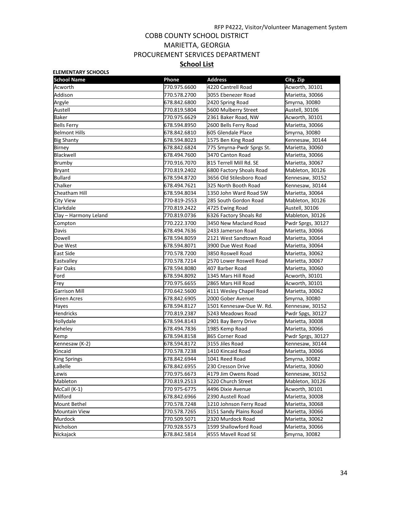## COBB COUNTY SCHOOL DISTRICT MARIETTA, GEORGIA PROCUREMENT SERVICES DEPARTMENT **School List**

| <b>ELEMENTARY SCHOOLS</b> |              |                           |                   |
|---------------------------|--------------|---------------------------|-------------------|
| <b>School Name</b>        | Phone        | <b>Address</b>            | City, Zip         |
| Acworth                   | 770.975.6600 | 4220 Cantrell Road        | Acworth, 30101    |
| Addison                   | 770.578.2700 | 3055 Ebenezer Road        | Marietta, 30066   |
| Argyle                    | 678.842.6800 | 2420 Spring Road          | Smyrna, 30080     |
| Austell                   | 770.819.5804 | 5600 Mulberry Street      | Austell, 30106    |
| Baker                     | 770.975.6629 | 2361 Baker Road, NW       | Acworth, 30101    |
| <b>Bells Ferry</b>        | 678.594.8950 | 2600 Bells Ferry Road     | Marietta, 30066   |
| <b>Belmont Hills</b>      | 678.842.6810 | 605 Glendale Place        | Smyrna, 30080     |
| <b>Big Shanty</b>         | 678.594.8023 | 1575 Ben King Road        | Kennesaw, 30144   |
| <b>Birney</b>             | 678.842.6824 | 775 Smyrna-Pwdr Sprgs St. | Marietta, 30060   |
| Blackwell                 | 678.494.7600 | 3470 Canton Road          | Marietta, 30066   |
| Brumby                    | 770.916.7070 | 815 Terrell Mill Rd. SE   | Marietta, 30067   |
| <b>Bryant</b>             | 770.819.2402 | 6800 Factory Shoals Road  | Mableton, 30126   |
| <b>Bullard</b>            | 678.594.8720 | 3656 Old Stilesboro Road  | Kennesaw, 30152   |
| Chalker                   | 678.494.7621 | 325 North Booth Road      | Kennesaw, 30144   |
| Cheatham Hill             | 678.594.8034 | 1350 John Ward Road SW    | Marietta, 30064   |
| City View                 | 770-819-2553 | 285 South Gordon Road     | Mableton, 30126   |
| Clarkdale                 | 770.819.2422 | 4725 Ewing Road           | Austell, 30106    |
| Clay – Harmony Leland     | 770.819.0736 | 6326 Factory Shoals Rd    | Mableton, 30126   |
| Compton                   | 770.222.3700 | 3450 New Macland Road     | Pwdr Sprgs, 30127 |
| Davis                     | 678.494.7636 | 2433 Jamerson Road        | Marietta, 30066   |
| Dowell                    | 678.594.8059 | 2121 West Sandtown Road   | Marietta, 30064   |
| Due West                  | 678.594.8071 | 3900 Due West Road        | Marietta, 30064   |
| East Side                 | 770.578.7200 | 3850 Roswell Road         | Marietta, 30062   |
| Eastvalley                | 770.578.7214 | 2570 Lower Roswell Road   | Marietta, 30067   |
| <b>Fair Oaks</b>          | 678.594.8080 | 407 Barber Road           | Marietta, 30060   |
| Ford                      | 678.594.8092 | 1345 Mars Hill Road       | Acworth, 30101    |
| Frey                      | 770.975.6655 | 2865 Mars Hill Road       | Acworth, 30101    |
| <b>Garrison Mill</b>      | 770.642.5600 | 4111 Wesley Chapel Road   | Marietta, 30062   |
| Green Acres               | 678.842.6905 | 2000 Gober Avenue         | Smyrna, 30080     |
| Hayes                     | 678.594.8127 | 1501 Kennesaw-Due W. Rd.  | Kennesaw, 30152   |
| <b>Hendricks</b>          | 770.819.2387 | 5243 Meadows Road         | Pwdr Spgs, 30127  |
| Hollydale                 | 678.594.8143 | 2901 Bay Berry Drive      | Marietta, 30008   |
| Keheley                   | 678.494.7836 | 1985 Kemp Road            | Marietta, 30066   |
| Kemp                      | 678.594.8158 | 865 Corner Road           | Pwdr Sprgs, 30127 |
| Kennesaw (K-2)            | 678.594.8172 | 3155 Jiles Road           | Kennesaw, 30144   |
| Kincaid                   | 770.578.7238 | 1410 Kincaid Road         | Marietta, 30066   |
| <b>King Springs</b>       | 678.842.6944 | 1041 Reed Road            | Smyrna, 30082     |
| LaBelle                   | 678.842.6955 | 230 Cresson Drive         | Marietta, 30060   |
| Lewis                     | 770.975.6673 | 4179 Jim Owens Road       | Kennesaw, 30152   |
| Mableton                  | 770.819.2513 | 5220 Church Street        | Mableton, 30126   |
| McCall (K-1)              | 770 975-6775 | 4496 Dixie Avenue         | Acworth, 30101    |
| Milford                   | 678.842.6966 | 2390 Austell Road         | Marietta, 30008   |
| Mount Bethel              | 770.578.7248 | 1210 Johnson Ferry Road   | Marietta, 30068   |
| Mountain View             | 770.578.7265 | 3151 Sandy Plains Road    | Marietta, 30066   |
| Murdock                   | 770.509.5071 | 2320 Murdock Road         | Marietta, 30062   |
| Nicholson                 | 770.928.5573 | 1599 Shallowford Road     | Marietta, 30066   |
| Nickajack                 | 678.842.5814 | 4555 Mavell Road SE       | Smyrna, 30082     |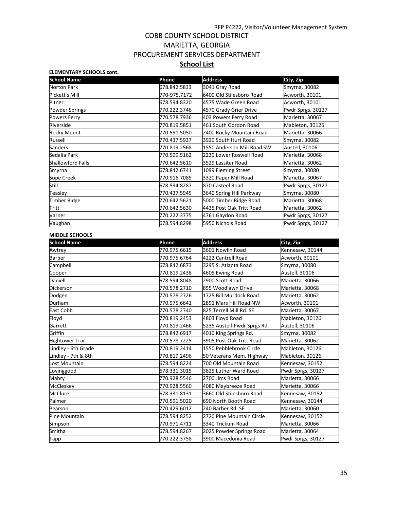## COBB COUNTY SCHOOL DISTRICT MARIETTA, GEORGIA PROCUREMENT SERVICES DEPARTMENT **School List**

### **ELEMENTARY SCHOOLS cont. School Name Phone Address City, Zip** Norton Park 678.842.5833 3041 Gray Road Smyrna, 30082 Pickett's Mill 770-975.7172 6400 Old Stilesboro Road Acworth, 30101 Pitner 678.594.8320 4575 Wade Green Road Acworth, 30101 Powder Springs 770.222.3746 4570 Grady Grier Drive Pwdr Sprgs, 30127 Powers Ferry **770.578.7936 403 Powers Ferry Road** Marietta, 30067 Riverside 770.819.5851 461 South Gordon Road Mableton, 30126 Rocky Mount 770.591.5050 2400 Rocky Mountain Road Marietta, 30066 Russell **1770.437.5937** 3920 South Hurt Road Smyrna, 30082 Sanders 770.819.2568 1550 Anderson Mill Road SW Austell, 30106 Sedalia Park **1988 1898 12230 Lower Roswell Road** Marietta, 30068 Shallowford Falls 770.642.5610 3529 Lassiter Road Marietta, 30062 Smyrna 678.842.6741 1099 Fleming Street Smyrna, 30080 Sope Creek 770.916.7085 3320 Paper Mill Road Marietta, 30067 Still 678.594.8287 870 Casteel Road Pwdr Sprgs, 30127 Teasley 770.437.5945 3640 Spring Hill Parkway Smyrna, 30080 Timber Ridge **770.642.5621** 5000 Timber Ridge Road Marietta, 30068 Tritt 770.642.5630 4435 Post Oak Tritt Road Marietta, 30062 Varner 770.222.3775 4761 Gaydon Road Pwdr Sprgs, 30127 Vaughan 678.594.8298 5950 Nichols Road Pwdr Sprgs, 30127

#### **MIDDLE SCHOOLS**

| <b>School Name</b>     | Phone        | <b>Address</b>              | City, Zip         |
|------------------------|--------------|-----------------------------|-------------------|
| Awtrey                 | 770.975.6615 | 3601 Nowlin Road            | Kennesaw, 30144   |
| <b>Barber</b>          | 770.975.6764 | 4222 Cantrell Road          | Acworth, 30101    |
| Campbell               | 678.842.6873 | 3295 S. Atlanta Road        | Smyrna, 30080     |
| Cooper                 | 770.819.2438 | 4605 Ewing Road             | Austell, 30106    |
| Daniell                | 678.594.8048 | 2900 Scott Road             | Marietta, 30066   |
| Dickerson              | 770.578.2710 | 855 Woodlawn Drive          | Marietta, 30068   |
| Dodgen                 | 770.578.2726 | 1725 Bill Murdock Road      | Marietta, 30062   |
| Durham                 | 770.975.6641 | 2891 Mars Hill Road NW      | Acworth, 30101    |
| East Cobb              | 770.578.2740 | 825 Terrell Mill Rd. SE     | Marietta, 30067   |
| Floyd                  | 770.819.2453 | 4803 Floyd Road             | Mableton, 30126   |
| Garrett                | 770.819.2466 | 5235 Austell-Pwdr Sprgs Rd. | Austell, 30106    |
| Griffin                | 678.842.6917 | 4010 King Springs Rd.       | Smyrna, 30082     |
| <b>Hightower Trail</b> | 770.578.7225 | 3905 Post Oak Tritt Road    | Marietta, 30062   |
| Lindley - 6th Grade    | 770.819.2414 | 1550 Pebblebrook Circle     | Mableton, 30126   |
| Lindley - 7th & 8th    | 770.819.2496 | 50 Veterans Mem. Highway    | Mableton, 30126   |
| Lost Mountain          | 678.594.8224 | 700 Old Mountain Road       | Kennesaw, 30152   |
| Lovinggood             | 678.331.3015 | 3825 Luther Ward Road       | Pwdr Sprgs, 30127 |
| Mabry                  | 770.928.5546 | 2700 Jims Road              | Marietta, 30066   |
| <b>McCleskev</b>       | 770.928.5560 | 4080 Maybreeze Road         | Marietta, 30066   |
| <b>McClure</b>         | 678.331.8131 | 3660 Old Stilesboro Road    | Kennesaw, 30152   |
| Palmer                 | 770.591.5020 | 690 North Booth Road        | Kennesaw, 30144   |
| Pearson                | 770.429.6012 | 240 Barber Rd. SE           | Marietta, 30060   |
| Pine Mountain          | 678.594.8252 | 2720 Pine Mountain Circle   | Kennesaw, 30152   |
| Simpson                | 770.971.4711 | 3340 Trickum Road           | Marietta, 30066   |
| Smitha                 | 678.594.8267 | 2025 Powder Springs Road    | Marietta, 30064   |
| Tapp                   | 770.222.3758 | 3900 Macedonia Road         | Pwdr Sprgs, 30127 |